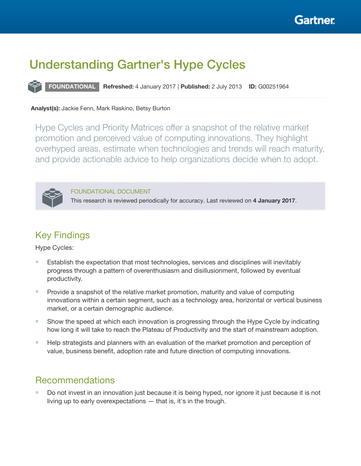

# Understanding Gartner's Hype Cycles

FOUNDATIONAL Refreshed: 4 January 2017 | Published: 2 July 2013 ID: G00251964

## Analyst(s): Jackie Fenn, Mark Raskino, Betsy Burton

Hype Cycles and Priority Matrices offer a snapshot of the relative market promotion and perceived value of computing innovations. They highlight overhyped areas, estimate when technologies and trends will reach maturity, and provide actionable advice to help organizations decide when to adopt.



FOUNDATIONAL DOCUMENT This research is reviewed periodically for accuracy. Last reviewed on 4 January 2017.

# Key Findings

Hype Cycles:

- Establish the expectation that most technologies, services and disciplines will inevitably progress through a pattern of overenthusiasm and disillusionment, followed by eventual productivity.
- Provide a snapshot of the relative market promotion, maturity and value of computing innovations within a certain segment, such as a technology area, horizontal or vertical business market, or a certain demographic audience.
- Show the speed at which each innovation is progressing through the Hype Cycle by indicating how long it will take to reach the Plateau of Productivity and the start of mainstream adoption.
- Help strategists and planners with an evaluation of the market promotion and perception of value, business benefit, adoption rate and future direction of computing innovations.

# Recommendations

■ Do not invest in an innovation just because it is being hyped, nor ignore it just because it is not living up to early overexpectations — that is, it's in the trough.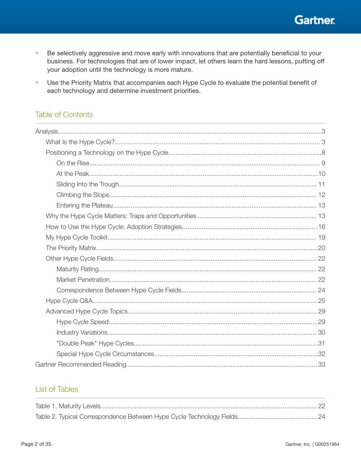**Gartner** 

- ×. Be selectively aggressive and move early with innovations that are potentially beneficial to your business. For technologies that are of lower impact, let others learn the hard lessons, putting off your adoption until the technology is more mature.
- $\mathcal{L}_{\mathcal{A}}$ Use the Priority Matrix that accompanies each Hype Cycle to evaluate the potential benefit of each technology and determine investment priorities.

# **Table of Contents**

# **List of Tables**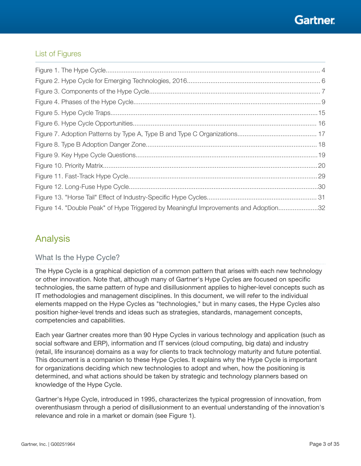# <span id="page-2-0"></span>List of Figures

| Figure 14. "Double Peak" of Hype Triggered by Meaningful Improvements and Adoption32 |  |
|--------------------------------------------------------------------------------------|--|

# Analysis

# What Is the Hype Cycle?

The Hype Cycle is a graphical depiction of a common pattern that arises with each new technology or other innovation. Note that, although many of Gartner's Hype Cycles are focused on specific technologies, the same pattern of hype and disillusionment applies to higher-level concepts such as IT methodologies and management disciplines. In this document, we will refer to the individual elements mapped on the Hype Cycles as "technologies," but in many cases, the Hype Cycles also position higher-level trends and ideas such as strategies, standards, management concepts, competencies and capabilities.

Each year Gartner creates more than 90 Hype Cycles in various technology and application (such as social software and ERP), information and IT services (cloud computing, big data) and industry (retail, life insurance) domains as a way for clients to track technology maturity and future potential. This document is a companion to these Hype Cycles. It explains why the Hype Cycle is important for organizations deciding which new technologies to adopt and when, how the positioning is determined, and what actions should be taken by strategic and technology planners based on knowledge of the Hype Cycle.

Gartner's Hype Cycle, introduced in 1995, characterizes the typical progression of innovation, from overenthusiasm through a period of disillusionment to an eventual understanding of the innovation's relevance and role in a market or domain (see Figure 1).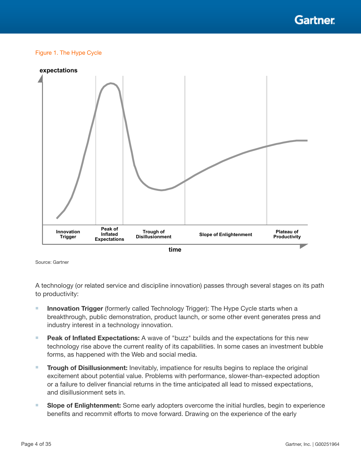

#### <span id="page-3-0"></span>Figure 1. The Hype Cycle



Source: Gartner

A technology (or related service and discipline innovation) passes through several stages on its path to productivity:

- Innovation Trigger (formerly called Technology Trigger): The Hype Cycle starts when a breakthrough, public demonstration, product launch, or some other event generates press and industry interest in a technology innovation.
- Peak of Inflated Expectations: A wave of "buzz" builds and the expectations for this new technology rise above the current reality of its capabilities. In some cases an investment bubble forms, as happened with the Web and social media.
- **Trough of Disillusionment:** Inevitably, impatience for results begins to replace the original excitement about potential value. Problems with performance, slower-than-expected adoption or a failure to deliver financial returns in the time anticipated all lead to missed expectations, and disillusionment sets in.
- Slope of Enlightenment: Some early adopters overcome the initial hurdles, begin to experience benefits and recommit efforts to move forward. Drawing on the experience of the early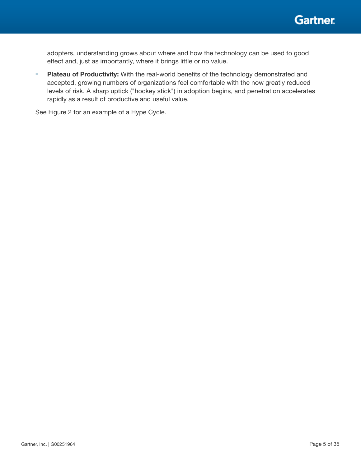

adopters, understanding grows about where and how the technology can be used to good effect and, just as importantly, where it brings little or no value.

■ Plateau of Productivity: With the real-world benefits of the technology demonstrated and accepted, growing numbers of organizations feel comfortable with the now greatly reduced levels of risk. A sharp uptick ("hockey stick") in adoption begins, and penetration accelerates rapidly as a result of productive and useful value.

See Figure 2 for an example of a Hype Cycle.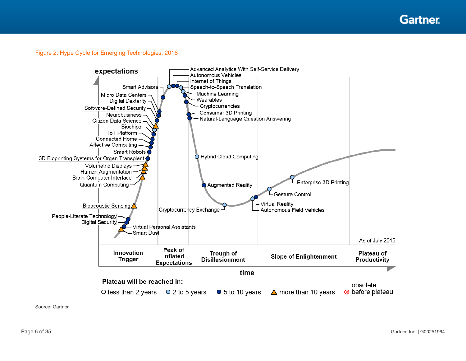**Gartner** 

## <span id="page-5-0"></span>Figure 2. Hype Cycle for Emerging Technologies, 2016



Source: Gartner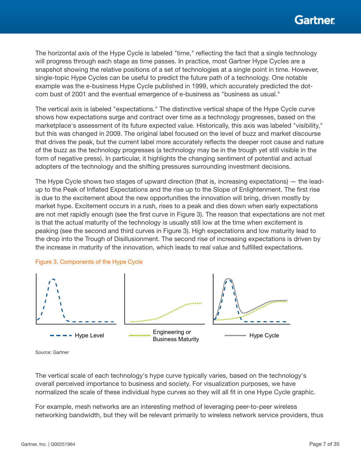<span id="page-6-0"></span>The horizontal axis of the Hype Cycle is labeled "time," reflecting the fact that a single technology will progress through each stage as time passes. In practice, most Gartner Hype Cycles are a snapshot showing the relative positions of a set of technologies at a single point in time. However, single-topic Hype Cycles can be useful to predict the future path of a technology. One notable example was the e-business Hype Cycle published in 1999, which accurately predicted the dotcom bust of 2001 and the eventual emergence of e-business as "business as usual."

The vertical axis is labeled "expectations." The distinctive vertical shape of the Hype Cycle curve shows how expectations surge and contract over time as a technology progresses, based on the marketplace's assessment of its future expected value. Historically, this axis was labeled "visibility," but this was changed in 2009. The original label focused on the level of buzz and market discourse that drives the peak, but the current label more accurately reflects the deeper root cause and nature of the buzz as the technology progresses (a technology may be in the trough yet still visible in the form of negative press). In particular, it highlights the changing sentiment of potential and actual adopters of the technology and the shifting pressures surrounding investment decisions.

The Hype Cycle shows two stages of upward direction (that is, increasing expectations) — the leadup to the Peak of Inflated Expectations and the rise up to the Slope of Enlightenment. The first rise is due to the excitement about the new opportunities the innovation will bring, driven mostly by market hype. Excitement occurs in a rush, rises to a peak and dies down when early expectations are not met rapidly enough (see the first curve in Figure 3). The reason that expectations are not met is that the actual maturity of the technology is usually still low at the time when excitement is peaking (see the second and third curves in Figure 3). High expectations and low maturity lead to the drop into the Trough of Disillusionment. The second rise of increasing expectations is driven by the increase in maturity of the innovation, which leads to real value and fullled expectations.



#### Figure 3. Components of the Hype Cycle

Source: Gartner

The vertical scale of each technology's hype curve typically varies, based on the technology's overall perceived importance to business and society. For visualization purposes, we have normalized the scale of these individual hype curves so they will all fit in one Hype Cycle graphic.

For example, mesh networks are an interesting method of leveraging peer-to-peer wireless networking bandwidth, but they will be relevant primarily to wireless network service providers, thus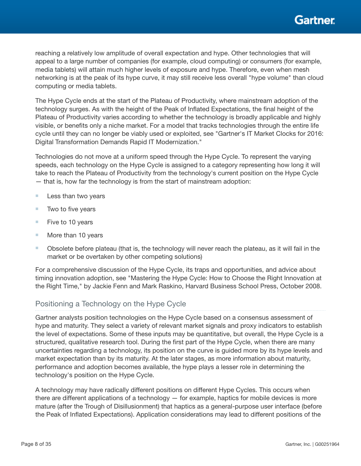<span id="page-7-0"></span>reaching a relatively low amplitude of overall expectation and hype. Other technologies that will appeal to a large number of companies (for example, cloud computing) or consumers (for example, media tablets) will attain much higher levels of exposure and hype. Therefore, even when mesh networking is at the peak of its hype curve, it may still receive less overall "hype volume" than cloud computing or media tablets.

The Hype Cycle ends at the start of the Plateau of Productivity, where mainstream adoption of the technology surges. As with the height of the Peak of Inflated Expectations, the final height of the Plateau of Productivity varies according to whether the technology is broadly applicable and highly visible, or benefits only a niche market. For a model that tracks technologies through the entire life cycle until they can no longer be viably used or exploited, see "Gartner's IT Market Clocks for 2016: Digital Transformation Demands Rapid IT Modernization."

Technologies do not move at a uniform speed through the Hype Cycle. To represent the varying speeds, each technology on the Hype Cycle is assigned to a category representing how long it will take to reach the Plateau of Productivity from the technology's current position on the Hype Cycle — that is, how far the technology is from the start of mainstream adoption:

- Less than two years
- $\blacksquare$  Two to five years
- Five to 10 years
- More than 10 years
- Obsolete before plateau (that is, the technology will never reach the plateau, as it will fail in the market or be overtaken by other competing solutions)

For a comprehensive discussion of the Hype Cycle, its traps and opportunities, and advice about timing innovation adoption, see "Mastering the Hype Cycle: How to Choose the Right Innovation at the Right Time," by Jackie Fenn and Mark Raskino, Harvard Business School Press, October 2008.

## Positioning a Technology on the Hype Cycle

Gartner analysts position technologies on the Hype Cycle based on a consensus assessment of hype and maturity. They select a variety of relevant market signals and proxy indicators to establish the level of expectations. Some of these inputs may be quantitative, but overall, the Hype Cycle is a structured, qualitative research tool. During the first part of the Hype Cycle, when there are many uncertainties regarding a technology, its position on the curve is guided more by its hype levels and market expectation than by its maturity. At the later stages, as more information about maturity, performance and adoption becomes available, the hype plays a lesser role in determining the technology's position on the Hype Cycle.

A technology may have radically different positions on different Hype Cycles. This occurs when there are different applications of a technology — for example, haptics for mobile devices is more mature (after the Trough of Disillusionment) that haptics as a general-purpose user interface (before the Peak of Inflated Expectations). Application considerations may lead to different positions of the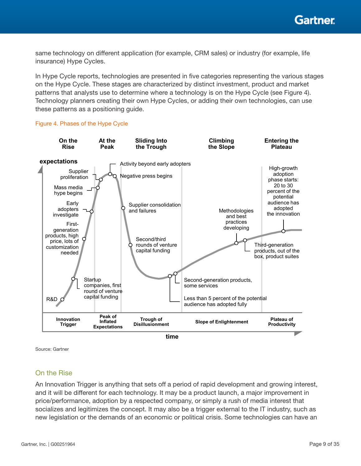<span id="page-8-0"></span>same technology on different application (for example, CRM sales) or industry (for example, life insurance) Hype Cycles.

In Hype Cycle reports, technologies are presented in five categories representing the various stages on the Hype Cycle. These stages are characterized by distinct investment, product and market patterns that analysts use to determine where a technology is on the Hype Cycle (see Figure 4). Technology planners creating their own Hype Cycles, or adding their own technologies, can use these patterns as a positioning guide.

#### Figure 4. Phases of the Hype Cycle



Source: Gartner

## On the Rise

An Innovation Trigger is anything that sets off a period of rapid development and growing interest, and it will be different for each technology. It may be a product launch, a major improvement in price/performance, adoption by a respected company, or simply a rush of media interest that socializes and legitimizes the concept. It may also be a trigger external to the IT industry, such as new legislation or the demands of an economic or political crisis. Some technologies can have an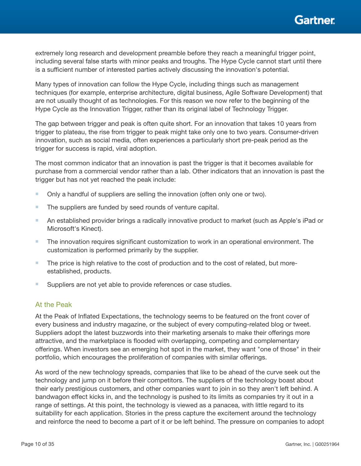

<span id="page-9-0"></span>extremely long research and development preamble before they reach a meaningful trigger point, including several false starts with minor peaks and troughs. The Hype Cycle cannot start until there is a sufficient number of interested parties actively discussing the innovation's potential.

Many types of innovation can follow the Hype Cycle, including things such as management techniques (for example, enterprise architecture, digital business, Agile Software Development) that are not usually thought of as technologies. For this reason we now refer to the beginning of the Hype Cycle as the Innovation Trigger, rather than its original label of Technology Trigger.

The gap between trigger and peak is often quite short. For an innovation that takes 10 years from trigger to plateau, the rise from trigger to peak might take only one to two years. Consumer-driven innovation, such as social media, often experiences a particularly short pre-peak period as the trigger for success is rapid, viral adoption.

The most common indicator that an innovation is past the trigger is that it becomes available for purchase from a commercial vendor rather than a lab. Other indicators that an innovation is past the trigger but has not yet reached the peak include:

- Only a handful of suppliers are selling the innovation (often only one or two).
- The suppliers are funded by seed rounds of venture capital.
- An established provider brings a radically innovative product to market (such as Apple's iPad or Microsoft's Kinect).
- The innovation requires significant customization to work in an operational environment. The customization is performed primarily by the supplier.
- The price is high relative to the cost of production and to the cost of related, but moreestablished, products.
- Suppliers are not yet able to provide references or case studies.

## At the Peak

At the Peak of Inflated Expectations, the technology seems to be featured on the front cover of every business and industry magazine, or the subject of every computing-related blog or tweet. Suppliers adopt the latest buzzwords into their marketing arsenals to make their offerings more attractive, and the marketplace is flooded with overlapping, competing and complementary offerings. When investors see an emerging hot spot in the market, they want "one of those" in their portfolio, which encourages the proliferation of companies with similar offerings.

As word of the new technology spreads, companies that like to be ahead of the curve seek out the technology and jump on it before their competitors. The suppliers of the technology boast about their early prestigious customers, and other companies want to join in so they aren't left behind. A bandwagon effect kicks in, and the technology is pushed to its limits as companies try it out in a range of settings. At this point, the technology is viewed as a panacea, with little regard to its suitability for each application. Stories in the press capture the excitement around the technology and reinforce the need to become a part of it or be left behind. The pressure on companies to adopt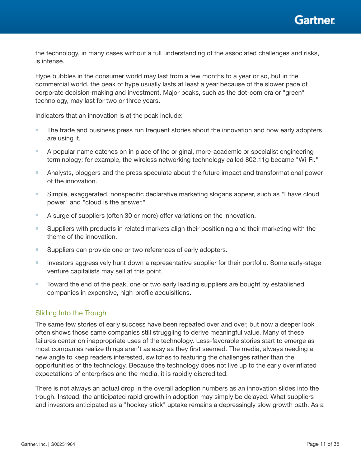<span id="page-10-0"></span>the technology, in many cases without a full understanding of the associated challenges and risks, is intense.

Hype bubbles in the consumer world may last from a few months to a year or so, but in the commercial world, the peak of hype usually lasts at least a year because of the slower pace of corporate decision-making and investment. Major peaks, such as the dot-com era or "green" technology, may last for two or three years.

Indicators that an innovation is at the peak include:

- The trade and business press run frequent stories about the innovation and how early adopters are using it.
- A popular name catches on in place of the original, more-academic or specialist engineering terminology; for example, the wireless networking technology called 802.11g became "Wi-Fi."
- Analysts, bloggers and the press speculate about the future impact and transformational power of the innovation.
- Simple, exaggerated, nonspecific declarative marketing slogans appear, such as "I have cloud power" and "cloud is the answer."
- A surge of suppliers (often 30 or more) offer variations on the innovation.
- Suppliers with products in related markets align their positioning and their marketing with the theme of the innovation.
- Suppliers can provide one or two references of early adopters.
- Investors aggressively hunt down a representative supplier for their portfolio. Some early-stage venture capitalists may sell at this point.
- Toward the end of the peak, one or two early leading suppliers are bought by established companies in expensive, high-profile acquisitions.

## Sliding Into the Trough

The same few stories of early success have been repeated over and over, but now a deeper look often shows those same companies still struggling to derive meaningful value. Many of these failures center on inappropriate uses of the technology. Less-favorable stories start to emerge as most companies realize things aren't as easy as they first seemed. The media, always needing a new angle to keep readers interested, switches to featuring the challenges rather than the opportunities of the technology. Because the technology does not live up to the early overinflated expectations of enterprises and the media, it is rapidly discredited.

There is not always an actual drop in the overall adoption numbers as an innovation slides into the trough. Instead, the anticipated rapid growth in adoption may simply be delayed. What suppliers and investors anticipated as a "hockey stick" uptake remains a depressingly slow growth path. As a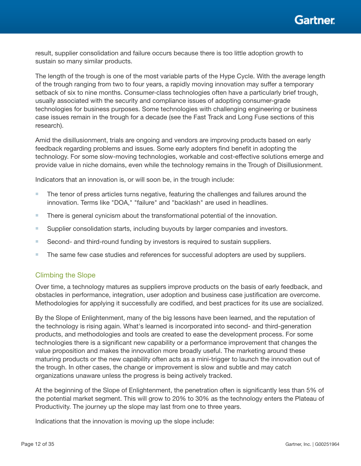

<span id="page-11-0"></span>result, supplier consolidation and failure occurs because there is too little adoption growth to sustain so many similar products.

The length of the trough is one of the most variable parts of the Hype Cycle. With the average length of the trough ranging from two to four years, a rapidly moving innovation may suffer a temporary setback of six to nine months. Consumer-class technologies often have a particularly brief trough, usually associated with the security and compliance issues of adopting consumer-grade technologies for business purposes. Some technologies with challenging engineering or business case issues remain in the trough for a decade (see the Fast Track and Long Fuse sections of this research).

Amid the disillusionment, trials are ongoing and vendors are improving products based on early feedback regarding problems and issues. Some early adopters find benefit in adopting the technology. For some slow-moving technologies, workable and cost-effective solutions emerge and provide value in niche domains, even while the technology remains in the Trough of Disillusionment.

Indicators that an innovation is, or will soon be, in the trough include:

- The tenor of press articles turns negative, featuring the challenges and failures around the innovation. Terms like "DOA," "failure" and "backlash" are used in headlines.
- There is general cynicism about the transformational potential of the innovation.
- Supplier consolidation starts, including buyouts by larger companies and investors.
- Second- and third-round funding by investors is required to sustain suppliers.
- The same few case studies and references for successful adopters are used by suppliers.

### Climbing the Slope

Over time, a technology matures as suppliers improve products on the basis of early feedback, and obstacles in performance, integration, user adoption and business case justification are overcome. Methodologies for applying it successfully are codified, and best practices for its use are socialized.

By the Slope of Enlightenment, many of the big lessons have been learned, and the reputation of the technology is rising again. What's learned is incorporated into second- and third-generation products, and methodologies and tools are created to ease the development process. For some technologies there is a signicant new capability or a performance improvement that changes the value proposition and makes the innovation more broadly useful. The marketing around these maturing products or the new capability often acts as a mini-trigger to launch the innovation out of the trough. In other cases, the change or improvement is slow and subtle and may catch organizations unaware unless the progress is being actively tracked.

At the beginning of the Slope of Enlightenment, the penetration often is significantly less than 5% of the potential market segment. This will grow to 20% to 30% as the technology enters the Plateau of Productivity. The journey up the slope may last from one to three years.

Indications that the innovation is moving up the slope include: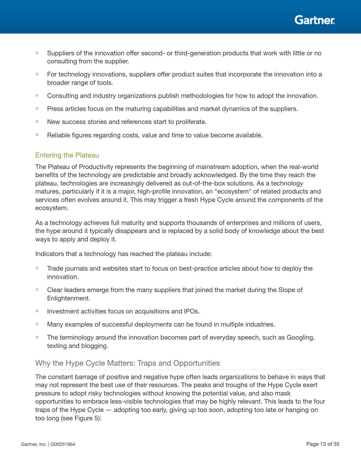Gartner

- <span id="page-12-0"></span>■ Suppliers of the innovation offer second- or third-generation products that work with little or no consulting from the supplier.
- For technology innovations, suppliers offer product suites that incorporate the innovation into a broader range of tools.
- Consulting and industry organizations publish methodologies for how to adopt the innovation.
- Press articles focus on the maturing capabilities and market dynamics of the suppliers.
- New success stories and references start to proliferate.
- Reliable figures regarding costs, value and time to value become available.

## Entering the Plateau

The Plateau of Productivity represents the beginning of mainstream adoption, when the real-world benefits of the technology are predictable and broadly acknowledged. By the time they reach the plateau, technologies are increasingly delivered as out-of-the-box solutions. As a technology matures, particularly if it is a major, high-profile innovation, an "ecosystem" of related products and services often evolves around it. This may trigger a fresh Hype Cycle around the components of the ecosystem.

As a technology achieves full maturity and supports thousands of enterprises and millions of users, the hype around it typically disappears and is replaced by a solid body of knowledge about the best ways to apply and deploy it.

Indicators that a technology has reached the plateau include:

- Trade journals and websites start to focus on best-practice articles about how to deploy the innovation.
- Clear leaders emerge from the many suppliers that joined the market during the Slope of Enlightenment.
- Investment activities focus on acquisitions and IPOs.
- Many examples of successful deployments can be found in multiple industries.
- The terminology around the innovation becomes part of everyday speech, such as Googling, texting and blogging.

# Why the Hype Cycle Matters: Traps and Opportunities

The constant barrage of positive and negative hype often leads organizations to behave in ways that may not represent the best use of their resources. The peaks and troughs of the Hype Cycle exert pressure to adopt risky technologies without knowing the potential value, and also mask opportunities to embrace less-visible technologies that may be highly relevant. This leads to the four traps of the Hype Cycle — adopting too early, giving up too soon, adopting too late or hanging on too long (see Figure 5):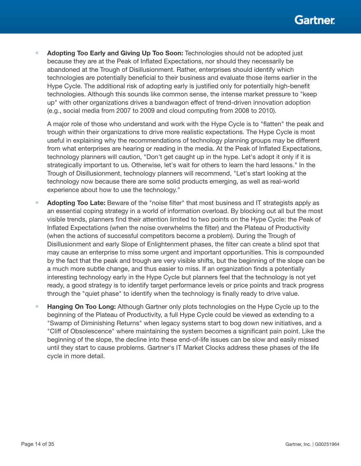Adopting Too Early and Giving Up Too Soon: Technologies should not be adopted just because they are at the Peak of Inflated Expectations, nor should they necessarily be abandoned at the Trough of Disillusionment. Rather, enterprises should identify which technologies are potentially beneficial to their business and evaluate those items earlier in the Hype Cycle. The additional risk of adopting early is justified only for potentially high-benefit technologies. Although this sounds like common sense, the intense market pressure to "keep up" with other organizations drives a bandwagon effect of trend-driven innovation adoption (e.g., social media from 2007 to 2009 and cloud computing from 2008 to 2010).

A major role of those who understand and work with the Hype Cycle is to "flatten" the peak and trough within their organizations to drive more realistic expectations. The Hype Cycle is most useful in explaining why the recommendations of technology planning groups may be different from what enterprises are hearing or reading in the media. At the Peak of Inflated Expectations, technology planners will caution, "Don't get caught up in the hype. Let's adopt it only if it is strategically important to us. Otherwise, let's wait for others to learn the hard lessons." In the Trough of Disillusionment, technology planners will recommend, "Let's start looking at the technology now because there are some solid products emerging, as well as real-world experience about how to use the technology."

- Adopting Too Late: Beware of the "noise filter" that most business and IT strategists apply as an essential coping strategy in a world of information overload. By blocking out all but the most visible trends, planners find their attention limited to two points on the Hype Cycle: the Peak of Inflated Expectations (when the noise overwhelms the filter) and the Plateau of Productivity (when the actions of successful competitors become a problem). During the Trough of Disillusionment and early Slope of Enlightenment phases, the filter can create a blind spot that may cause an enterprise to miss some urgent and important opportunities. This is compounded by the fact that the peak and trough are very visible shifts, but the beginning of the slope can be a much more subtle change, and thus easier to miss. If an organization finds a potentially interesting technology early in the Hype Cycle but planners feel that the technology is not yet ready, a good strategy is to identify target performance levels or price points and track progress through the "quiet phase" to identify when the technology is finally ready to drive value.
- Hanging On Too Long: Although Gartner only plots technologies on the Hype Cycle up to the beginning of the Plateau of Productivity, a full Hype Cycle could be viewed as extending to a "Swamp of Diminishing Returns" when legacy systems start to bog down new initiatives, and a "Cliff of Obsolescence" where maintaining the system becomes a significant pain point. Like the beginning of the slope, the decline into these end-of-life issues can be slow and easily missed until they start to cause problems. Gartner's IT Market Clocks address these phases of the life cycle in more detail.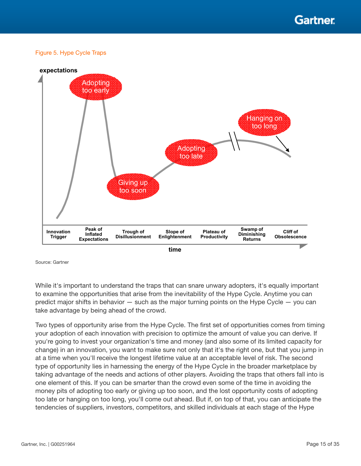Gartner

#### <span id="page-14-0"></span>Figure 5. Hype Cycle Traps



Source: Gartner

While it's important to understand the traps that can snare unwary adopters, it's equally important to examine the opportunities that arise from the inevitability of the Hype Cycle. Anytime you can predict major shifts in behavior — such as the major turning points on the Hype Cycle — you can take advantage by being ahead of the crowd.

Two types of opportunity arise from the Hype Cycle. The first set of opportunities comes from timing your adoption of each innovation with precision to optimize the amount of value you can derive. If you're going to invest your organization's time and money (and also some of its limited capacity for change) in an innovation, you want to make sure not only that it's the right one, but that you jump in at a time when you'll receive the longest lifetime value at an acceptable level of risk. The second type of opportunity lies in harnessing the energy of the Hype Cycle in the broader marketplace by taking advantage of the needs and actions of other players. Avoiding the traps that others fall into is one element of this. If you can be smarter than the crowd even some of the time in avoiding the money pits of adopting too early or giving up too soon, and the lost opportunity costs of adopting too late or hanging on too long, you'll come out ahead. But if, on top of that, you can anticipate the tendencies of suppliers, investors, competitors, and skilled individuals at each stage of the Hype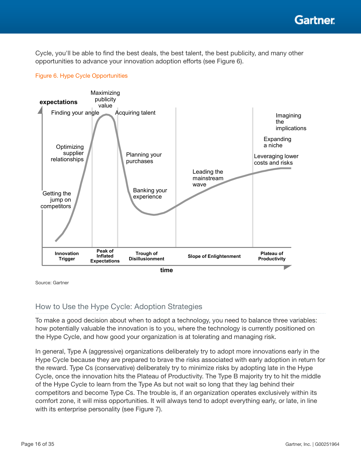<span id="page-15-0"></span>Cycle, you'll be able to find the best deals, the best talent, the best publicity, and many other opportunities to advance your innovation adoption efforts (see Figure 6).



### Figure 6. Hype Cycle Opportunities

Source: Gartner

# How to Use the Hype Cycle: Adoption Strategies

To make a good decision about when to adopt a technology, you need to balance three variables: how potentially valuable the innovation is to you, where the technology is currently positioned on the Hype Cycle, and how good your organization is at tolerating and managing risk.

In general, Type A (aggressive) organizations deliberately try to adopt more innovations early in the Hype Cycle because they are prepared to brave the risks associated with early adoption in return for the reward. Type Cs (conservative) deliberately try to minimize risks by adopting late in the Hype Cycle, once the innovation hits the Plateau of Productivity. The Type B majority try to hit the middle of the Hype Cycle to learn from the Type As but not wait so long that they lag behind their competitors and become Type Cs. The trouble is, if an organization operates exclusively within its comfort zone, it will miss opportunities. It will always tend to adopt everything early, or late, in line with its enterprise personality (see Figure 7).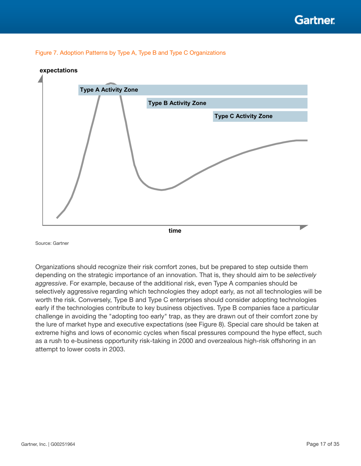<span id="page-16-0"></span>



### **expectations**

Source: Gartner

Organizations should recognize their risk comfort zones, but be prepared to step outside them depending on the strategic importance of an innovation. That is, they should aim to be *selectively aggressive*. For example, because of the additional risk, even Type A companies should be selectively aggressive regarding which technologies they adopt early, as not all technologies will be worth the risk. Conversely, Type B and Type C enterprises should consider adopting technologies early if the technologies contribute to key business objectives. Type B companies face a particular challenge in avoiding the "adopting too early" trap, as they are drawn out of their comfort zone by the lure of market hype and executive expectations (see Figure 8). Special care should be taken at extreme highs and lows of economic cycles when fiscal pressures compound the hype effect, such as a rush to e-business opportunity risk-taking in 2000 and overzealous high-risk offshoring in an attempt to lower costs in 2003.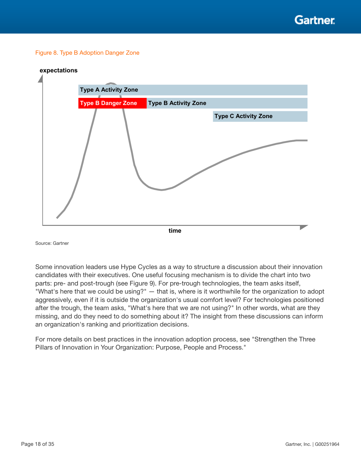#### <span id="page-17-0"></span>Figure 8. Type B Adoption Danger Zone



Source: Gartner

Some innovation leaders use Hype Cycles as a way to structure a discussion about their innovation candidates with their executives. One useful focusing mechanism is to divide the chart into two parts: pre- and post-trough (see Figure 9). For pre-trough technologies, the team asks itself, "What's here that we could be using?" — that is, where is it worthwhile for the organization to adopt aggressively, even if it is outside the organization's usual comfort level? For technologies positioned after the trough, the team asks, "What's here that we are not using?" In other words, what are they missing, and do they need to do something about it? The insight from these discussions can inform an organization's ranking and prioritization decisions.

For more details on best practices in the innovation adoption process, see "Strengthen the Three Pillars of Innovation in Your Organization: Purpose, People and Process."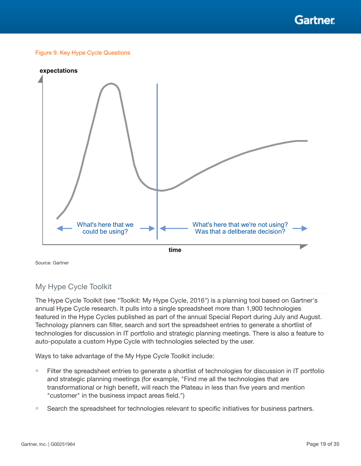**Gartner** 

#### <span id="page-18-0"></span>Figure 9. Key Hype Cycle Questions



Source: Gartner

## My Hype Cycle Toolkit

The Hype Cycle Toolkit (see "Toolkit: My Hype Cycle, 2016") is a planning tool based on Gartner's annual Hype Cycle research. It pulls into a single spreadsheet more than 1,900 technologies featured in the Hype Cycles published as part of the annual Special Report during July and August. Technology planners can filter, search and sort the spreadsheet entries to generate a shortlist of technologies for discussion in IT portfolio and strategic planning meetings. There is also a feature to auto-populate a custom Hype Cycle with technologies selected by the user.

Ways to take advantage of the My Hype Cycle Toolkit include:

- Filter the spreadsheet entries to generate a shortlist of technologies for discussion in IT portfolio and strategic planning meetings (for example, "Find me all the technologies that are transformational or high benefit, will reach the Plateau in less than five years and mention "customer" in the business impact areas field.")
- Search the spreadsheet for technologies relevant to specific initiatives for business partners.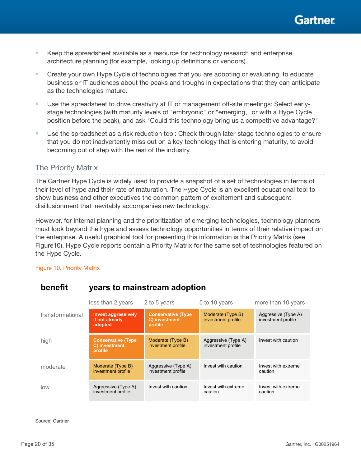

- <span id="page-19-0"></span>■ Keep the spreadsheet available as a resource for technology research and enterprise architecture planning (for example, looking up definitions or vendors).
- Create your own Hype Cycle of technologies that you are adopting or evaluating, to educate business or IT audiences about the peaks and troughs in expectations that they can anticipate as the technologies mature.
- Use the spreadsheet to drive creativity at IT or management off-site meetings: Select earlystage technologies (with maturity levels of "embryonic" or "emerging," or with a Hype Cycle position before the peak), and ask "Could this technology bring us a competitive advantage?"
- Use the spreadsheet as a risk reduction tool: Check through later-stage technologies to ensure that you do not inadvertently miss out on a key technology that is entering maturity, to avoid becoming out of step with the rest of the industry.

## The Priority Matrix

The Gartner Hype Cycle is widely used to provide a snapshot of a set of technologies in terms of their level of hype and their rate of maturation. The Hype Cycle is an excellent educational tool to show business and other executives the common pattern of excitement and subsequent disillusionment that inevitably accompanies new technology.

However, for internal planning and the prioritization of emerging technologies, technology planners must look beyond the hype and assess technology opportunities in terms of their relative impact on the enterprise. A useful graphical tool for presenting this information is the Priority Matrix (see Figure10). Hype Cycle reports contain a Priority Matrix for the same set of technologies featured on the Hype Cycle.

#### Figure 10. Priority Matrix

|                  | less than 2 years                                       | 2 to 5 years                                          | 5 to 10 years                             | more than 10 years                        |
|------------------|---------------------------------------------------------|-------------------------------------------------------|-------------------------------------------|-------------------------------------------|
| transformational | <b>Invest aggressively</b><br>if not already<br>adopted | <b>Conservative (Type</b><br>C) investment<br>profile | Moderate (Type B)<br>investment profile   | Aggressive (Type A)<br>investment profile |
| high             | <b>Conservative (Type</b><br>C) investment<br>profile   | Moderate (Type B)<br>investment profile               | Aggressive (Type A)<br>investment profile | Invest with caution                       |
| moderate         | Moderate (Type B)<br>investment profile                 | Aggressive (Type A)<br>investment profile             | Invest with caution                       | Invest with extreme<br>caution            |
| low              | Aggressive (Type A)<br>investment profile               | Invest with caution                                   | Invest with extreme<br>caution            | Invest with extreme<br>caution            |

# **benefit years to mainstream adoption**

Source: Gartner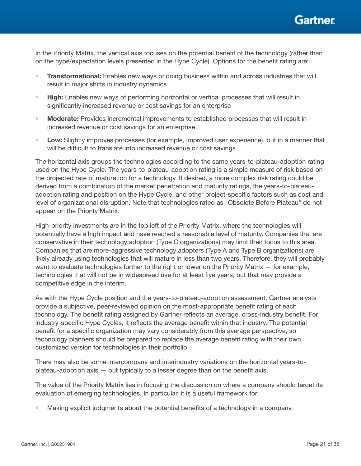

In the Priority Matrix, the vertical axis focuses on the potential benefit of the technology (rather than on the hype/expectation levels presented in the Hype Cycle). Options for the benefit rating are:

- **Transformational:** Enables new ways of doing business within and across industries that will result in major shifts in industry dynamics
- High: Enables new ways of performing horizontal or vertical processes that will result in significantly increased revenue or cost savings for an enterprise
- Moderate: Provides incremental improvements to established processes that will result in increased revenue or cost savings for an enterprise
- Low: Slightly improves processes (for example, improved user experience), but in a manner that will be difficult to translate into increased revenue or cost savings

The horizontal axis groups the technologies according to the same years-to-plateau-adoption rating used on the Hype Cycle. The years-to-plateau-adoption rating is a simple measure of risk based on the projected rate of maturation for a technology. If desired, a more complex risk rating could be derived from a combination of the market penetration and maturity ratings, the years-to-plateauadoption rating and position on the Hype Cycle, and other project-specific factors such as cost and level of organizational disruption. Note that technologies rated as "Obsolete Before Plateau" do not appear on the Priority Matrix.

High-priority investments are in the top left of the Priority Matrix, where the technologies will potentially have a high impact and have reached a reasonable level of maturity. Companies that are conservative in their technology adoption (Type C organizations) may limit their focus to this area. Companies that are more-aggressive technology adopters (Type A and Type B organizations) are likely already using technologies that will mature in less than two years. Therefore, they will probably want to evaluate technologies further to the right or lower on the Priority Matrix — for example, technologies that will not be in widespread use for at least five years, but that may provide a competitive edge in the interim.

As with the Hype Cycle position and the years-to-plateau-adoption assessment, Gartner analysts provide a subjective, peer-reviewed opinion on the most-appropriate benefit rating of each technology. The benefit rating assigned by Gartner reflects an average, cross-industry benefit. For industry-specific Hype Cycles, it reflects the average benefit within that industry. The potential benefit for a specific organization may vary considerably from this average perspective, so technology planners should be prepared to replace the average benefit rating with their own customized version for technologies in their portfolio.

There may also be some intercompany and interindustry variations on the horizontal years-toplateau-adoption axis  $-$  but typically to a lesser degree than on the benefit axis.

The value of the Priority Matrix lies in focusing the discussion on where a company should target its evaluation of emerging technologies. In particular, it is a useful framework for:

■ Making explicit judgments about the potential benefits of a technology in a company.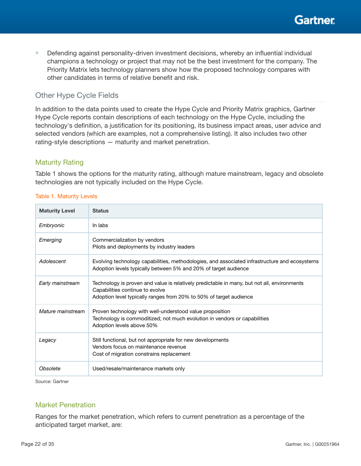

<span id="page-21-0"></span>■ Defending against personality-driven investment decisions, whereby an influential individual champions a technology or project that may not be the best investment for the company. The Priority Matrix lets technology planners show how the proposed technology compares with other candidates in terms of relative benefit and risk.

# Other Hype Cycle Fields

In addition to the data points used to create the Hype Cycle and Priority Matrix graphics, Gartner Hype Cycle reports contain descriptions of each technology on the Hype Cycle, including the technology's definition, a justification for its positioning, its business impact areas, user advice and selected vendors (which are examples, not a comprehensive listing). It also includes two other rating-style descriptions — maturity and market penetration.

## Maturity Rating

Table 1 shows the options for the maturity rating, although mature mainstream, legacy and obsolete technologies are not typically included on the Hype Cycle.

| <b>Maturity Level</b> | <b>Status</b>                                                                                                                                                                                        |
|-----------------------|------------------------------------------------------------------------------------------------------------------------------------------------------------------------------------------------------|
| Embryonic             | In labs                                                                                                                                                                                              |
| Emerging              | Commercialization by vendors<br>Pilots and deployments by industry leaders                                                                                                                           |
| Adolescent            | Evolving technology capabilities, methodologies, and associated infrastructure and ecosystems<br>Adoption levels typically between 5% and 20% of target audience                                     |
| Early mainstream      | Technology is proven and value is relatively predictable in many, but not all, environments<br>Capabilities continue to evolve<br>Adoption level typically ranges from 20% to 50% of target audience |
| Mature mainstream     | Proven technology with well-understood value proposition<br>Technology is commoditized; not much evolution in vendors or capabilities<br>Adoption levels above 50%                                   |
| Legacy                | Still functional, but not appropriate for new developments<br>Vendors focus on maintenance revenue<br>Cost of migration constrains replacement                                                       |
| Obsolete              | Used/resale/maintenance markets only                                                                                                                                                                 |

### Table 1. Maturity Levels

Source: Gartner

## Market Penetration

Ranges for the market penetration, which refers to current penetration as a percentage of the anticipated target market, are: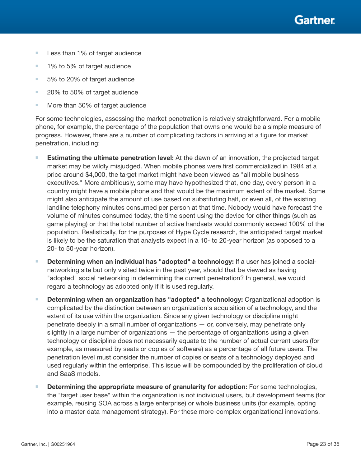- Less than 1% of target audience
- 1% to 5% of target audience
- 5% to 20% of target audience
- 20% to 50% of target audience
- More than 50% of target audience

For some technologies, assessing the market penetration is relatively straightforward. For a mobile phone, for example, the percentage of the population that owns one would be a simple measure of progress. However, there are a number of complicating factors in arriving at a figure for market penetration, including:

- **Estimating the ultimate penetration level:** At the dawn of an innovation, the projected target market may be wildly misjudged. When mobile phones were first commercialized in 1984 at a price around \$4,000, the target market might have been viewed as "all mobile business executives." More ambitiously, some may have hypothesized that, one day, every person in a country might have a mobile phone and that would be the maximum extent of the market. Some might also anticipate the amount of use based on substituting half, or even all, of the existing landline telephony minutes consumed per person at that time. Nobody would have forecast the volume of minutes consumed today, the time spent using the device for other things (such as game playing) or that the total number of active handsets would commonly exceed 100% of the population. Realistically, for the purposes of Hype Cycle research, the anticipated target market is likely to be the saturation that analysts expect in a 10- to 20-year horizon (as opposed to a 20- to 50-year horizon).
- Determining when an individual has "adopted" a technology: If a user has joined a socialnetworking site but only visited twice in the past year, should that be viewed as having "adopted" social networking in determining the current penetration? In general, we would regard a technology as adopted only if it is used regularly.
- Determining when an organization has "adopted" a technology: Organizational adoption is complicated by the distinction between an organization's acquisition of a technology, and the extent of its use within the organization. Since any given technology or discipline might penetrate deeply in a small number of organizations — or, conversely, may penetrate only slightly in a large number of organizations — the percentage of organizations using a given technology or discipline does not necessarily equate to the number of actual current users (for example, as measured by seats or copies of software) as a percentage of all future users. The penetration level must consider the number of copies or seats of a technology deployed and used regularly within the enterprise. This issue will be compounded by the proliferation of cloud and SaaS models.
- Determining the appropriate measure of granularity for adoption: For some technologies, the "target user base" within the organization is not individual users, but development teams (for example, reusing SOA across a large enterprise) or whole business units (for example, opting into a master data management strategy). For these more-complex organizational innovations,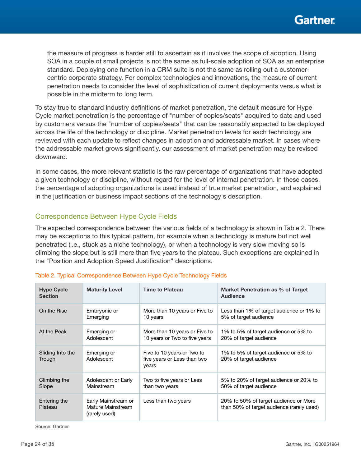<span id="page-23-0"></span>the measure of progress is harder still to ascertain as it involves the scope of adoption. Using SOA in a couple of small projects is not the same as full-scale adoption of SOA as an enterprise standard. Deploying one function in a CRM suite is not the same as rolling out a customercentric corporate strategy. For complex technologies and innovations, the measure of current penetration needs to consider the level of sophistication of current deployments versus what is possible in the midterm to long term.

To stay true to standard industry definitions of market penetration, the default measure for Hype Cycle market penetration is the percentage of "number of copies/seats" acquired to date and used by customers versus the "number of copies/seats" that can be reasonably expected to be deployed across the life of the technology or discipline. Market penetration levels for each technology are reviewed with each update to reflect changes in adoption and addressable market. In cases where the addressable market grows significantly, our assessment of market penetration may be revised downward.

In some cases, the more relevant statistic is the raw percentage of organizations that have adopted a given technology or discipline, without regard for the level of internal penetration. In these cases, the percentage of adopting organizations is used instead of true market penetration, and explained in the justification or business impact sections of the technology's description.

## Correspondence Between Hype Cycle Fields

The expected correspondence between the various fields of a technology is shown in Table 2. There may be exceptions to this typical pattern, for example when a technology is mature but not well penetrated (i.e., stuck as a niche technology), or when a technology is very slow moving so is climbing the slope but is still more than five years to the plateau. Such exceptions are explained in the "Position and Adoption Speed Justification" descriptions.

| <b>Hype Cycle</b><br><b>Section</b> | <b>Maturity Level</b>                                     | <b>Time to Plateau</b>                                             | Market Penetration as % of Target<br><b>Audience</b>                               |
|-------------------------------------|-----------------------------------------------------------|--------------------------------------------------------------------|------------------------------------------------------------------------------------|
| On the Rise                         | Embryonic or                                              | More than 10 years or Five to                                      | Less than 1% of target audience or 1% to                                           |
|                                     | Emerging                                                  | 10 years                                                           | 5% of target audience                                                              |
| At the Peak                         | Emerging or                                               | More than 10 years or Five to                                      | 1% to 5% of target audience or 5% to                                               |
|                                     | Adolescent                                                | 10 years or Two to five years                                      | 20% of target audience                                                             |
| Sliding Into the<br>Trough          | Emerging or<br>Adolescent                                 | Five to 10 years or Two to<br>five years or Less than two<br>years | 1% to 5% of target audience or 5% to<br>20% of target audience                     |
| Climbing the                        | Adolescent or Early                                       | Two to five years or Less                                          | 5% to 20% of target audience or 20% to                                             |
| Slope                               | Mainstream                                                | than two years                                                     | 50% of target audience                                                             |
| Entering the<br>Plateau             | Early Mainstream or<br>Mature Mainstream<br>(rarely used) | Less than two years                                                | 20% to 50% of target audience or More<br>than 50% of target audience (rarely used) |

## Table 2. Typical Correspondence Between Hype Cycle Technology Fields

Source: Gartner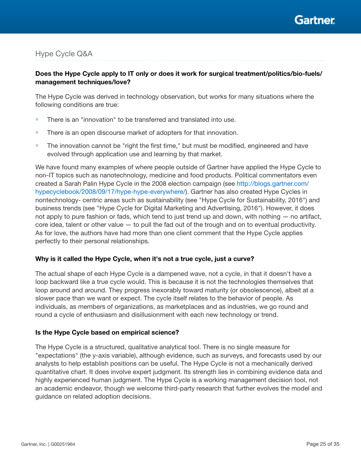

# <span id="page-24-0"></span>Hype Cycle Q&A

## Does the Hype Cycle apply to IT only or does it work for surgical treatment/politics/bio-fuels/ management techniques/love?

The Hype Cycle was derived in technology observation, but works for many situations where the following conditions are true:

- There is an "innovation" to be transferred and translated into use.
- There is an open discourse market of adopters for that innovation.
- The innovation cannot be "right the first time," but must be modified, engineered and have evolved through application use and learning by that market.

We have found many examples of where people outside of Gartner have applied the Hype Cycle to non-IT topics such as nanotechnology, medicine and food products. Political commentators even created a Sarah Palin Hype Cycle in the 2008 election campaign (see [http://blogs.gartner.com/](http://blogs.gartner.com/hypecyclebook/2008/09/17/hype-hype-everywhere/) [hypecyclebook/2008/09/17/hype-hype-everywhere/\)](http://blogs.gartner.com/hypecyclebook/2008/09/17/hype-hype-everywhere/). Gartner has also created Hype Cycles in nontechnology- centric areas such as sustainability (see "Hype Cycle for Sustainability, 2016") and business trends (see "Hype Cycle for Digital Marketing and Advertising, 2016"). However, it does not apply to pure fashion or fads, which tend to just trend up and down, with nothing — no artifact, core idea, talent or other value — to pull the fad out of the trough and on to eventual productivity. As for love, the authors have had more than one client comment that the Hype Cycle applies perfectly to their personal relationships.

#### Why is it called the Hype Cycle, when it's not a true cycle, just a curve?

The actual shape of each Hype Cycle is a dampened wave, not a cycle, in that it doesn't have a loop backward like a true cycle would. This is because it is not the technologies themselves that loop around and around. They progress inexorably toward maturity (or obsolescence), albeit at a slower pace than we want or expect. The cycle itself relates to the behavior of people. As individuals, as members of organizations, as marketplaces and as industries, we go round and round a cycle of enthusiasm and disillusionment with each new technology or trend.

#### Is the Hype Cycle based on empirical science?

The Hype Cycle is a structured, qualitative analytical tool. There is no single measure for "expectations" (the y-axis variable), although evidence, such as surveys, and forecasts used by our analysts to help establish positions can be useful. The Hype Cycle is not a mechanically derived quantitative chart. It does involve expert judgment. Its strength lies in combining evidence data and highly experienced human judgment. The Hype Cycle is a working management decision tool, not an academic endeavor, though we welcome third-party research that further evolves the model and guidance on related adoption decisions.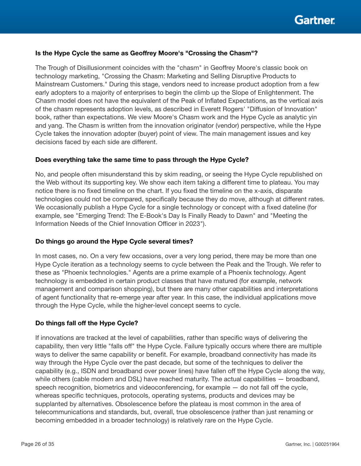

### Is the Hype Cycle the same as Geoffrey Moore's "Crossing the Chasm"?

The Trough of Disillusionment coincides with the "chasm" in Geoffrey Moore's classic book on technology marketing, "Crossing the Chasm: Marketing and Selling Disruptive Products to Mainstream Customers." During this stage, vendors need to increase product adoption from a few early adopters to a majority of enterprises to begin the climb up the Slope of Enlightenment. The Chasm model does not have the equivalent of the Peak of Inflated Expectations, as the vertical axis of the chasm represents adoption levels, as described in Everett Rogers' "Diffusion of Innovation" book, rather than expectations. We view Moore's Chasm work and the Hype Cycle as analytic yin and yang. The Chasm is written from the innovation originator (vendor) perspective, while the Hype Cycle takes the innovation adopter (buyer) point of view. The main management issues and key decisions faced by each side are different.

#### Does everything take the same time to pass through the Hype Cycle?

No, and people often misunderstand this by skim reading, or seeing the Hype Cycle republished on the Web without its supporting key. We show each item taking a different time to plateau. You may notice there is no fixed timeline on the chart. If you fixed the timeline on the x-axis, disparate technologies could not be compared, specifically because they do move, although at different rates. We occasionally publish a Hype Cycle for a single technology or concept with a fixed dateline (for example, see "Emerging Trend: The E-Book's Day Is Finally Ready to Dawn" and "Meeting the Information Needs of the Chief Innovation Officer in 2023").

#### Do things go around the Hype Cycle several times?

In most cases, no. On a very few occasions, over a very long period, there may be more than one Hype Cycle iteration as a technology seems to cycle between the Peak and the Trough. We refer to these as "Phoenix technologies." Agents are a prime example of a Phoenix technology. Agent technology is embedded in certain product classes that have matured (for example, network management and comparison shopping), but there are many other capabilities and interpretations of agent functionality that re-emerge year after year. In this case, the individual applications move through the Hype Cycle, while the higher-level concept seems to cycle.

#### Do things fall off the Hype Cycle?

If innovations are tracked at the level of capabilities, rather than specific ways of delivering the capability, then very little "falls off" the Hype Cycle. Failure typically occurs where there are multiple ways to deliver the same capability or benefit. For example, broadband connectivity has made its way through the Hype Cycle over the past decade, but some of the techniques to deliver the capability (e.g., ISDN and broadband over power lines) have fallen off the Hype Cycle along the way, while others (cable modem and DSL) have reached maturity. The actual capabilities  $-$  broadband, speech recognition, biometrics and videoconferencing, for example — do not fall off the cycle, whereas specific techniques, protocols, operating systems, products and devices may be supplanted by alternatives. Obsolescence before the plateau is most common in the area of telecommunications and standards, but, overall, true obsolescence (rather than just renaming or becoming embedded in a broader technology) is relatively rare on the Hype Cycle.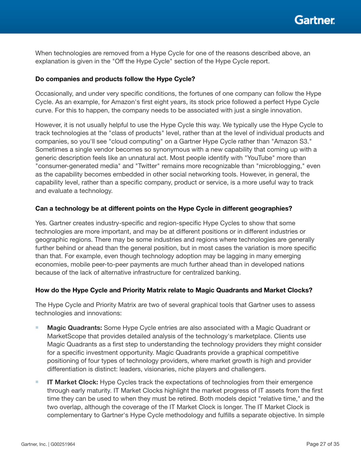

When technologies are removed from a Hype Cycle for one of the reasons described above, an explanation is given in the "Off the Hype Cycle" section of the Hype Cycle report.

## Do companies and products follow the Hype Cycle?

Occasionally, and under very specific conditions, the fortunes of one company can follow the Hype Cycle. As an example, for Amazon's first eight years, its stock price followed a perfect Hype Cycle curve. For this to happen, the company needs to be associated with just a single innovation.

However, it is not usually helpful to use the Hype Cycle this way. We typically use the Hype Cycle to track technologies at the "class of products" level, rather than at the level of individual products and companies, so you'll see "cloud computing" on a Gartner Hype Cycle rather than "Amazon S3." Sometimes a single vendor becomes so synonymous with a new capability that coming up with a generic description feels like an unnatural act. Most people identify with "YouTube" more than "consumer-generated media" and "Twitter" remains more recognizable than "microblogging," even as the capability becomes embedded in other social networking tools. However, in general, the capability level, rather than a specific company, product or service, is a more useful way to track and evaluate a technology.

### Can a technology be at different points on the Hype Cycle in different geographies?

Yes. Gartner creates industry-specific and region-specific Hype Cycles to show that some technologies are more important, and may be at different positions or in different industries or geographic regions. There may be some industries and regions where technologies are generally further behind or ahead than the general position, but in most cases the variation is more specific than that. For example, even though technology adoption may be lagging in many emerging economies, mobile peer-to-peer payments are much further ahead than in developed nations because of the lack of alternative infrastructure for centralized banking.

## How do the Hype Cycle and Priority Matrix relate to Magic Quadrants and Market Clocks?

The Hype Cycle and Priority Matrix are two of several graphical tools that Gartner uses to assess technologies and innovations:

- Magic Quadrants: Some Hype Cycle entries are also associated with a Magic Quadrant or MarketScope that provides detailed analysis of the technology's marketplace. Clients use Magic Quadrants as a first step to understanding the technology providers they might consider for a specific investment opportunity. Magic Quadrants provide a graphical competitive positioning of four types of technology providers, where market growth is high and provider differentiation is distinct: leaders, visionaries, niche players and challengers.
- IT Market Clock: Hype Cycles track the expectations of technologies from their emergence through early maturity. IT Market Clocks highlight the market progress of IT assets from the first time they can be used to when they must be retired. Both models depict "relative time," and the two overlap, although the coverage of the IT Market Clock is longer. The IT Market Clock is complementary to Gartner's Hype Cycle methodology and fullls a separate objective. In simple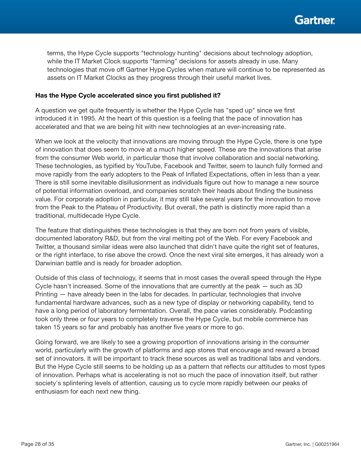

terms, the Hype Cycle supports "technology hunting" decisions about technology adoption, while the IT Market Clock supports "farming" decisions for assets already in use. Many technologies that move off Gartner Hype Cycles when mature will continue to be represented as assets on IT Market Clocks as they progress through their useful market lives.

### Has the Hype Cycle accelerated since you first published it?

A question we get quite frequently is whether the Hype Cycle has "sped up" since we first introduced it in 1995. At the heart of this question is a feeling that the pace of innovation has accelerated and that we are being hit with new technologies at an ever-increasing rate.

When we look at the velocity that innovations are moving through the Hype Cycle, there is one type of innovation that does seem to move at a much higher speed. These are the innovations that arise from the consumer Web world, in particular those that involve collaboration and social networking. These technologies, as typified by YouTube, Facebook and Twitter, seem to launch fully formed and move rapidly from the early adopters to the Peak of Inflated Expectations, often in less than a year. There is still some inevitable disillusionment as individuals figure out how to manage a new source of potential information overload, and companies scratch their heads about finding the business value. For corporate adoption in particular, it may still take several years for the innovation to move from the Peak to the Plateau of Productivity. But overall, the path is distinctly more rapid than a traditional, multidecade Hype Cycle.

The feature that distinguishes these technologies is that they are born not from years of visible, documented laboratory R&D, but from the viral melting pot of the Web. For every Facebook and Twitter, a thousand similar ideas were also launched that didn't have quite the right set of features, or the right interface, to rise above the crowd. Once the next viral site emerges, it has already won a Darwinian battle and is ready for broader adoption.

Outside of this class of technology, it seems that in most cases the overall speed through the Hype Cycle hasn't increased. Some of the innovations that are currently at the peak — such as 3D Printing — have already been in the labs for decades. In particular, technologies that involve fundamental hardware advances, such as a new type of display or networking capability, tend to have a long period of laboratory fermentation. Overall, the pace varies considerably. Podcasting took only three or four years to completely traverse the Hype Cycle, but mobile commerce has taken 15 years so far and probably has another five years or more to go.

Going forward, we are likely to see a growing proportion of innovations arising in the consumer world, particularly with the growth of platforms and app stores that encourage and reward a broad set of innovators. It will be important to track these sources as well as traditional labs and vendors. But the Hype Cycle still seems to be holding up as a pattern that reflects our attitudes to most types of innovation. Perhaps what is accelerating is not so much the pace of innovation itself, but rather society's splintering levels of attention, causing us to cycle more rapidly between our peaks of enthusiasm for each next new thing.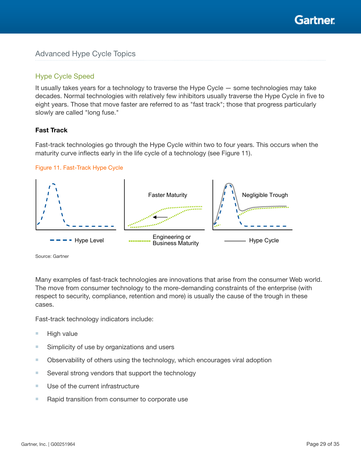

## <span id="page-28-0"></span>Hype Cycle Speed

It usually takes years for a technology to traverse the Hype Cycle — some technologies may take decades. Normal technologies with relatively few inhibitors usually traverse the Hype Cycle in five to eight years. Those that move faster are referred to as "fast track"; those that progress particularly slowly are called "long fuse."

## Fast Track

Fast-track technologies go through the Hype Cycle within two to four years. This occurs when the maturity curve inflects early in the life cycle of a technology (see Figure 11).

### Figure 11. Fast-Track Hype Cycle



Source: Gartner

Many examples of fast-track technologies are innovations that arise from the consumer Web world. The move from consumer technology to the more-demanding constraints of the enterprise (with respect to security, compliance, retention and more) is usually the cause of the trough in these cases.

Fast-track technology indicators include:

- High value
- Simplicity of use by organizations and users
- Observability of others using the technology, which encourages viral adoption
- Several strong vendors that support the technology
- Use of the current infrastructure
- Rapid transition from consumer to corporate use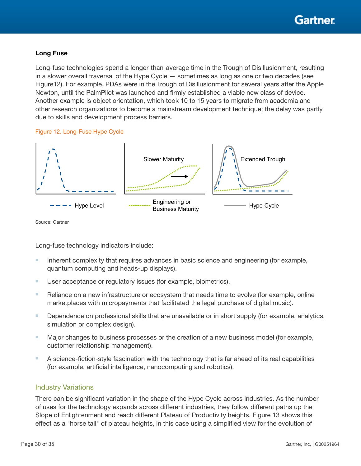## <span id="page-29-0"></span>Long Fuse

Long-fuse technologies spend a longer-than-average time in the Trough of Disillusionment, resulting in a slower overall traversal of the Hype Cycle — sometimes as long as one or two decades (see Figure12). For example, PDAs were in the Trough of Disillusionment for several years after the Apple Newton, until the PalmPilot was launched and firmly established a viable new class of device. Another example is object orientation, which took 10 to 15 years to migrate from academia and other research organizations to become a mainstream development technique; the delay was partly due to skills and development process barriers.

## Figure 12. Long-Fuse Hype Cycle



Source: Gartner

Long-fuse technology indicators include:

- Inherent complexity that requires advances in basic science and engineering (for example, quantum computing and heads-up displays).
- User acceptance or regulatory issues (for example, biometrics).
- Reliance on a new infrastructure or ecosystem that needs time to evolve (for example, online marketplaces with micropayments that facilitated the legal purchase of digital music).
- Dependence on professional skills that are unavailable or in short supply (for example, analytics, simulation or complex design).
- Major changes to business processes or the creation of a new business model (for example, customer relationship management).
- A science-fiction-style fascination with the technology that is far ahead of its real capabilities (for example, artificial intelligence, nanocomputing and robotics).

## Industry Variations

There can be significant variation in the shape of the Hype Cycle across industries. As the number of uses for the technology expands across different industries, they follow different paths up the Slope of Enlightenment and reach different Plateau of Productivity heights. Figure 13 shows this effect as a "horse tail" of plateau heights, in this case using a simplified view for the evolution of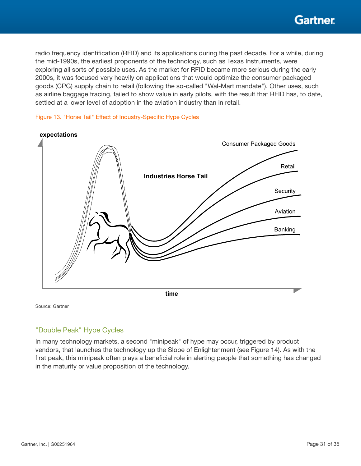<span id="page-30-0"></span>radio frequency identification (RFID) and its applications during the past decade. For a while, during the mid-1990s, the earliest proponents of the technology, such as Texas Instruments, were exploring all sorts of possible uses. As the market for RFID became more serious during the early 2000s, it was focused very heavily on applications that would optimize the consumer packaged goods (CPG) supply chain to retail (following the so-called "Wal-Mart mandate"). Other uses, such as airline baggage tracing, failed to show value in early pilots, with the result that RFID has, to date, settled at a lower level of adoption in the aviation industry than in retail.





Source: Gartner

# "Double Peak" Hype Cycles

In many technology markets, a second "minipeak" of hype may occur, triggered by product vendors, that launches the technology up the Slope of Enlightenment (see Figure 14). As with the first peak, this minipeak often plays a beneficial role in alerting people that something has changed in the maturity or value proposition of the technology.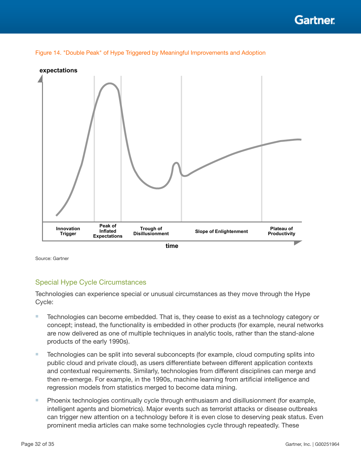

<span id="page-31-0"></span>



Source: Gartner

## Special Hype Cycle Circumstances

Technologies can experience special or unusual circumstances as they move through the Hype Cycle:

- Technologies can become embedded. That is, they cease to exist as a technology category or concept; instead, the functionality is embedded in other products (for example, neural networks are now delivered as one of multiple techniques in analytic tools, rather than the stand-alone products of the early 1990s).
- Technologies can be split into several subconcepts (for example, cloud computing splits into public cloud and private cloud), as users differentiate between different application contexts and contextual requirements. Similarly, technologies from different disciplines can merge and then re-emerge. For example, in the 1990s, machine learning from artificial intelligence and regression models from statistics merged to become data mining.
- Phoenix technologies continually cycle through enthusiasm and disillusionment (for example, intelligent agents and biometrics). Major events such as terrorist attacks or disease outbreaks can trigger new attention on a technology before it is even close to deserving peak status. Even prominent media articles can make some technologies cycle through repeatedly. These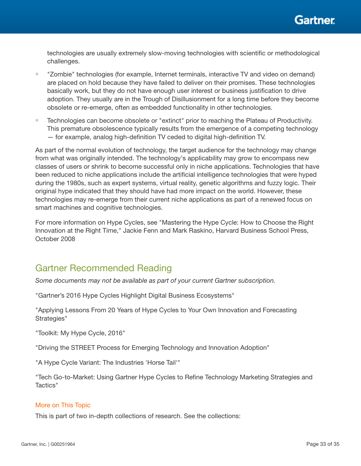<span id="page-32-0"></span>technologies are usually extremely slow-moving technologies with scientific or methodological challenges.

- "Zombie" technologies (for example, Internet terminals, interactive TV and video on demand) are placed on hold because they have failed to deliver on their promises. These technologies basically work, but they do not have enough user interest or business justification to drive adoption. They usually are in the Trough of Disillusionment for a long time before they become obsolete or re-emerge, often as embedded functionality in other technologies.
- Technologies can become obsolete or "extinct" prior to reaching the Plateau of Productivity. This premature obsolescence typically results from the emergence of a competing technology  $-$  for example, analog high-definition TV ceded to digital high-definition TV.

As part of the normal evolution of technology, the target audience for the technology may change from what was originally intended. The technology's applicability may grow to encompass new classes of users or shrink to become successful only in niche applications. Technologies that have been reduced to niche applications include the artificial intelligence technologies that were hyped during the 1980s, such as expert systems, virtual reality, genetic algorithms and fuzzy logic. Their original hype indicated that they should have had more impact on the world. However, these technologies may re-emerge from their current niche applications as part of a renewed focus on smart machines and cognitive technologies.

For more information on Hype Cycles, see "Mastering the Hype Cycle: How to Choose the Right Innovation at the Right Time," Jackie Fenn and Mark Raskino, Harvard Business School Press, October 2008

# Gartner Recommended Reading

*Some documents may not be available as part of your current Gartner subscription.*

"Gartner's 2016 Hype Cycles Highlight Digital Business Ecosystems"

"Applying Lessons From 20 Years of Hype Cycles to Your Own Innovation and Forecasting Strategies"

"Toolkit: My Hype Cycle, 2016"

"Driving the STREET Process for Emerging Technology and Innovation Adoption"

"A Hype Cycle Variant: The Industries 'Horse Tail'"

"Tech Go-to-Market: Using Gartner Hype Cycles to Refine Technology Marketing Strategies and Tactics"

## More on This Topic

This is part of two in-depth collections of research. See the collections: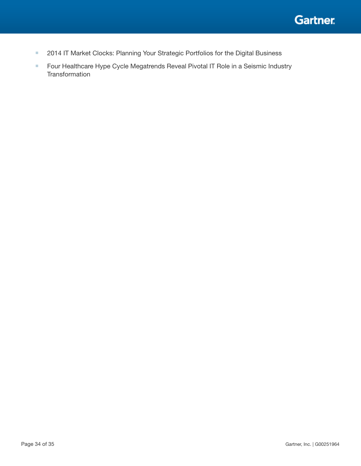

- 2014 IT Market Clocks: Planning Your Strategic Portfolios for the Digital Business
- Four Healthcare Hype Cycle Megatrends Reveal Pivotal IT Role in a Seismic Industry **Transformation**